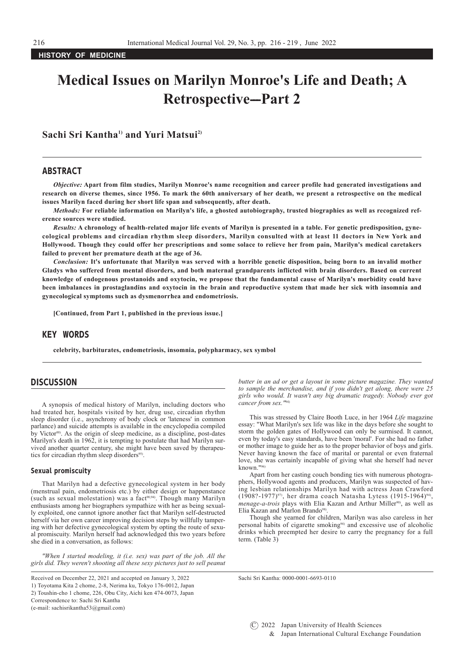## **HISTORY OF MEDICINE**

# **Medical Issues on Marilyn Monroe's Life and Death; A Retrospective-Part 2**

Sachi Sri Kantha<sup>1)</sup> and Yuri Matsui<sup>2)</sup>

## ABSTRACT

*Objective:* **Apart from film studies, Marilyn Monroe's name recognition and career profile had generated investigations and research on diverse themes, since 1956. To mark the 60th anniversary of her death, we present a retrospective on the medical issues Marilyn faced during her short life span and subsequently, after death.**

*Methods:* **For reliable information on Marilyn's life, a ghosted autobiography, trusted biographies as well as recognized reference sources were studied.** 

*Results:* **A chronology of health-related major life events of Marilyn is presented in a table. For genetic predisposition, gynecological problems and circadian rhythm sleep disorders, Marilyn consulted with at least 11 doctors in New York and Hollywood. Though they could offer her prescriptions and some solace to relieve her from pain, Marilyn's medical caretakers failed to prevent her premature death at the age of 36.**

*Conclusion:* **It's unfortunate that Marilyn was served with a horrible genetic disposition, being born to an invalid mother Gladys who suffered from mental disorders, and both maternal grandparents inflicted with brain disorders. Based on current knowledge of endogenous prostanoids and oxytocin, we propose that the fundamental cause of Marilyn's morbidity could have been imbalances in prostaglandins and oxytocin in the brain and reproductive system that made her sick with insomnia and gynecological symptoms such as dysmenorrhea and endometriosis.**

**[Continued, from Part 1, published in the previous issue.]**

## KEY WORDS

**celebrity, barbiturates, endometriosis, insomnia, polypharmacy, sex symbol**

## **DISCUSSION**

A synopsis of medical history of Marilyn, including doctors who had treated her, hospitals visited by her, drug use, circadian rhythm sleep disorder (i.e., asynchrony of body clock or 'lateness' in common parlance) and suicide attempts is available in the encyclopedia compiled by Victor<sup>88</sup>. As the origin of sleep medicine, as a discipline, post-dates Marilyn's death in 1962, it is tempting to postulate that had Marilyn survived another quarter century, she might have been saved by therapeutics for circadian rhythm sleep disorders<sup>95)</sup>.

#### Sexual promiscuity

That Marilyn had a defective gynecological system in her body (menstrual pain, endometriosis etc.) by either design or happenstance (such as sexual molestation) was a fact<sup>90,94</sup>). Though many Marilyn enthusiasts among her biographers sympathize with her as being sexually exploited, one cannot ignore another fact that Marilyn self-destructed herself via her own career improving decision steps by willfully tampering with her defective gynecological system by opting the route of sexual promiscuity. Marilyn herself had acknowledged this two years before she died in a conversation, as follows:

*"When I started modeling, it (i.e. sex) was part of the job. All the girls did. They weren't shooting all these sexy pictures just to sell peanut* 

*butter in an ad or get a layout in some picture magazine. They wanted to sample the merchandise, and if you didn't get along, there were 25 girls who would. It wasn't any big dramatic tragedy. Nobody ever got cancer from sex."*94)

This was stressed by Claire Booth Luce, in her 1964 *Life* magazine essay: "What Marilyn's sex life was like in the days before she sought to storm the golden gates of Hollywood can only be surmised. It cannot, even by today's easy standards, have been 'moral'. For she had no father or mother image to guide her as to the proper behavior of boys and girls. Never having known the face of marital or parental or even fraternal love, she was certainly incapable of giving what she herself had never known."9

Apart from her casting couch bonding ties with numerous photographers, Hollywood agents and producers, Marilyn was suspected of having lesbian relationships Marilyn had with actress Joan Crawford (1908?-1977)<sup>97)</sup>, her drama coach Natasha Lytess (1915-1964)<sup>94)</sup>, *menage-a-trois* plays with Elia Kazan and Arthur Miller<sup>90</sup>, as well as Elia Kazan and Marlon Brando9

Though she yearned for children, Marilyn was also careless in her personal habits of cigarette smoking<sup>94)</sup> and excessive use of alcoholic drinks which preempted her desire to carry the pregnancy for a full term. (Table 3)

Received on December 22, 2021 and accepted on January 3, 2022 Sachi Sri Kantha: 0000-0001-6693-0110



<sup>1)</sup> Toyotama Kita 2 chome, 2-8, Nerima ku, Tokyo 176-0012, Japan

<sup>2)</sup> Toushin-cho 1 chome, 226, Obu City, Aichi ken 474-0073, Japan

Correspondence to: Sachi Sri Kantha

<sup>(</sup>e-mail: sachisrikantha53@gmail.com)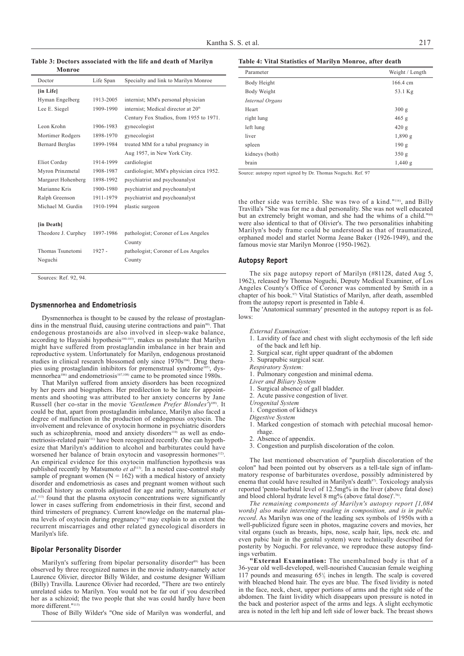**Table 3: Doctors associated with the life and death of Marilyn Monroe** 

| втоштос                |           |                                                 |
|------------------------|-----------|-------------------------------------------------|
| Doctor                 | Life Span | Specialty and link to Marilyn Monroe            |
| [in Life]              |           |                                                 |
| Hyman Engelberg        | 1913-2005 | internist; MM's personal physician              |
| Lee E. Siegel          | 1909-1990 | internist; Medical director at 20 <sup>th</sup> |
|                        |           | Century Fox Studios, from 1955 to 1971.         |
| Leon Krohn             | 1906-1983 | gynecologist                                    |
| Mortimer Rodgers       | 1898-1970 | gynecologist                                    |
| <b>Bernard Berglas</b> | 1899-1984 | treated MM for a tubal pregnancy in             |
|                        |           | Aug 1957, in New York City.                     |
| Eliot Corday           | 1914-1999 | cardiologist                                    |
| Myron Prinzmetal       | 1908-1987 | cardiologist; MM's physician circa 1952.        |
| Margaret Hohenberg     | 1898-1992 | psychiatrist and psychoanalyst                  |
| Marianne Kris          | 1900-1980 | psychiatrist and psychoanalyst                  |
| Ralph Greenson         | 1911-1979 | psychiatrist and psychoanalyst                  |
| Michael M. Gurdin      | 1910-1994 | plastic surgeon                                 |
|                        |           |                                                 |
| [in Death]             |           |                                                 |
| Theodore J. Curphey    | 1897-1986 | pathologist; Coroner of Los Angeles             |
|                        |           | County                                          |
| Thomas Tsunetomi       | $1927 -$  | pathologist; Coroner of Los Angeles             |
| Noguchi                |           | County                                          |
|                        |           |                                                 |
| Sources: Ref. 92, 94.  |           |                                                 |

#### Dysmennorhea and Endometriosis

Dysmennorhea is thought to be caused by the release of prostaglandins in the menstrual fluid, causing uterine contractions and pain<sup>99)</sup>. That endogenous prostanoids are also involved in sleep-wake balance, according to Hayaishi hypothesis<sup>100-103</sup>), makes us postulate that Marilyn might have suffered from prostaglandin imbalance in her brain and reproductive system. Unfortunately for Marilyn, endogenous prostanoid studies in clinical research blossomed only since 1970s<sup>104)</sup>. Drug therapies using prostaglandin inhibitors for premenstrual syndrome<sup>105)</sup>, dysmennorhea<sup>106)</sup> and endometriosis<sup>107,108)</sup> came to be promoted since 1980s.

That Marilyn suffered from anxiety disorders has been recognized by her peers and biographers. Her predilection to be late for appointments and shooting was attributed to her anxiety concerns by Jane Russell (her co-star in the movie 'Gentlemen Prefer Blondes')<sup>109)</sup>. It could be that, apart from prostaglandin imbalance, Marilyn also faced a degree of malfunction in the production of endogenous oxytocin. The involvement and relevance of oxytocin hormone in psychiatric disorders such as schizophrenia, mood and anxiety disorders<sup>110</sup> as well as endometriosis-related pain<sup>111)</sup> have been recognized recently. One can hypothesize that Marilyn's addition to alcohol and barbiturates could have worsened her balance of brain oxytocin and vasopressin hormones<sup>112)</sup>. An empirical evidence for this oxytocin malfunction hypothesis was published recently by Matsumoto *et al*<sup>113)</sup>. In a nested case-control study sample of pregnant women ( $N = 162$ ) with a medical history of anxiety disorder and endometriosis as cases and pregnant women without such medical history as controls adjusted for age and parity, Matsumoto *et al*. 113) found that the plasma oxytocin concentrations were significantly lower in cases suffering from endometriosis in their first, second and third trimesters of pregnancy. Current knowledge on the maternal plasma levels of oxytocin during pregnancy<sup>114)</sup> may explain to an extent the recurrent miscarriages and other related gynecological disorders in Marilyn's life.

## Bipolar Personality Disorder

Marilyn's suffering from bipolar personality disorder<sup>89)</sup> has been observed by three recognized names in the movie industry-namely actor Laurence Olivier, director Billy Wilder, and costume designer William (Billy) Travilla. Laurence Olivier had recorded, "There are two entirely unrelated sides to Marilyn. You would not be far out if you described her as a schizoid; the two people that she was could hardly have been more different."<sup>115)</sup>

Those of Billy Wilder's "One side of Marilyn was wonderful, and

**Table 4: Vital Statistics of Marilyn Monroe, after death**

| Parameter       | Weight / Length    |
|-----------------|--------------------|
| Body Height     | $166.4 \text{ cm}$ |
| Body Weight     | 53.1 Kg            |
| Internal Organs |                    |
| Heart           | 300 g              |
| right lung      | 465 g              |
| left lung       | 420 g              |
| liver           | 1,890 g            |
| spleen          | 190g               |
| kidneys (both)  | 350g               |
| brain           | $1,440 \text{ g}$  |

Source: autopsy report signed by Dr. Thomas Noguchi. Ref. 97

the other side was terrible. She was two of a kind."116), and Billy Travilla's "She was for me a dual personality. She was not well educated but an extremely bright woman, and she had the whims of a child."89) were also identical to that of Olivier's. The two personalities inhabiting Marilyn's body frame could be understood as that of traumatized, orphaned model and starlet Norma Jeane Baker (1926-1949), and the famous movie star Marilyn Monroe (1950-1962).

#### Autopsy Report

The six page autopsy report of Marilyn (#81128, dated Aug 5, 1962), released by Thomas Noguchi, Deputy Medical Examiner, of Los Angeles County's Office of Coroner was commented by Smith in a chapter of his book.<sup>97)</sup> Vital Statistics of Marilyn, after death, assembled from the autopsy report is presented in Table 4.

The 'Anatomical summary' presented in the autopsy report is as follows:

*External Examination:*

- 1. Lavidity of face and chest with slight ecchymosis of the left side of the back and left hip.
- 2. Surgical scar, right upper quadrant of the abdomen
- 3. Suprapubic surgical scar.
- *Respiratory System:*
- 1. Pulmonary congestion and minimal edema.
- *Liver and Biliary System*
- 1. Surgical absence of gall bladder.
- 2. Acute passive congestion of liver.
- *Urogenital System*
- 1. Congestion of kidneys
- *Digestive System*
- 1. Marked congestion of stomach with petechial mucosal hemorrhage.
- 2. Absence of appendix.
- 3. Congestion and purplish discoloration of the colon.

The last mentioned observation of "purplish discoloration of the colon" had been pointed out by observers as a tell-tale sign of inflammatory response of barbiturates overdose, possibly administered by enema that could have resulted in Marilyn's death<sup>97)</sup>. Toxicology analysis reported 'pento-barbital level of 12.5mg% in the liver (above fatal dose) and blood chloral hydrate level 8 mg% (above fatal dose)'.76).

*The remaining components of Marilyn's autopsy report [1,084 words] also make interesting reading in composition, and is in public record*. As Marilyn was one of the leading sex symbols of 1950s with a well-publicized figure seen in photos, magazine covers and movies, her vital organs (such as breasts, hips, nose, scalp hair, lips, neck etc. and even pubic hair in the genital system) were technically described for posterity by Noguchi. For relevance, we reproduce these autopsy findings verbatim.

**"External Examination:** The unembalmed body is that of a 36-year old well-developed, well-nourished Caucasian female weighing 117 pounds and measuring  $65\frac{1}{2}$  inches in length. The scalp is covered with bleached blond hair. The eyes are blue. The fixed lividity is noted in the face, neck, chest, upper portions of arms and the right side of the abdomen. The faint lividity which disappears upon pressure is noted in the back and posterior aspect of the arms and legs. A slight ecchymotic area is noted in the left hip and left side of lower back. The breast shows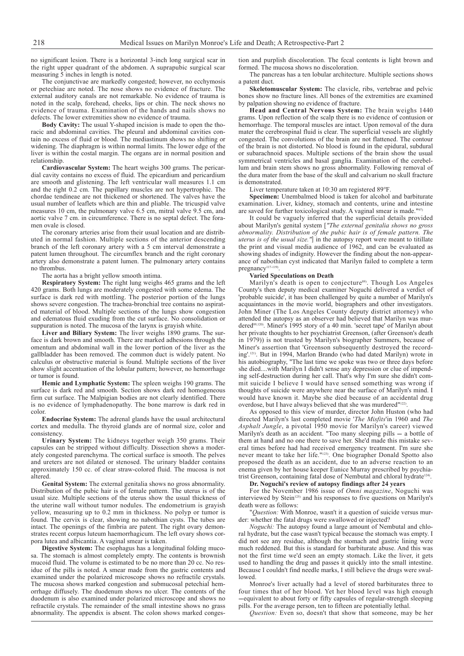no significant lesion. There is a horizontal 3-inch long surgical scar in the right upper quadrant of the abdomen. A suprapubic surgical scar measuring 5 inches in length is noted.

The conjunctivae are markedly congested; however, no ecchymosis or petechiae are noted. The nose shows no evidence of fracture. The external auditory canals are not remarkable. No evidence of trauma is noted in the scalp, forehead, cheeks, lips or chin. The neck shows no evidence of trauma. Examination of the hands and nails shows no defects. The lower extremities show no evidence of trauma.

**Body Cavity:** The usual Y-shaped incision is made to open the thoracic and abdominal cavities. The pleural and abdominal cavities contain no excess of fluid or blood. The mediastinum shows no shifting or widening. The diaphragm is within normal limits. The lower edge of the liver is within the costal margin. The organs are in normal position and relationship.

**Cardiovascular System:** The heart weighs 300 grams. The pericardial cavity contains no excess of fluid. The epicardium and pericardium are smooth and glistening. The left ventricular wall measures 1.1 cm and the right 0.2 cm. The papillary muscles are not hypertrophic. The chordae tendineae are not thickened or shortened. The valves have the usual number of leaflets which are thin and pliable. The tricuspid valve measures 10 cm, the pulmonary valve 6.5 cm, mitral valve 9.5 cm, and aortic valve 7 cm. in circumference. There is no septal defect. The foramen ovale is closed.

The coronary arteries arise from their usual location and are distributed in normal fashion. Multiple sections of the anterior descending branch of the left coronary artery with a 5 cm interval demonstrate a patent lumen throughout. The circumflex branch and the right coronary artery also demonstrate a patent lumen. The pulmonary artery contains no thrombus.

The aorta has a bright yellow smooth intima.

**Respiratory System:** The right lung weighs 465 grams and the left 420 grams. Both lungs are moderately congested with some edema. The surface is dark red with mottling. The posterior portion of the lungs shows severe congestion. The trachea-bronchial tree contains no aspirated material of blood. Multiple sections of the lungs show congestion and edematous fluid exuding from the cut surface. No consolidation or suppuration is noted. The mucosa of the larynx is grayish white.

**Liver and Biliary System:** The liver weighs 1890 grams. The surface is dark brown and smooth. There are marked adhesions through the omentum and abdominal wall in the lower portion of the liver as the gallbladder has been removed. The common duct is widely patent. No calculus or obstructive material is found. Multiple sections of the liver show slight accentuation of the lobular pattern; however, no hemorrhage or tumor is found.

**Hemic and Lymphatic System:** The spleen weighs 190 grams. The surface is dark red and smooth. Section shows dark red homogeneous firm cut surface. The Malpigian bodies are not clearly identified. There is no evidence of lymphadenopathy. The bone marrow is dark red in color.

**Endocrine System:** The adrenal glands have the usual architectural cortex and medulla. The thyroid glands are of normal size, color and consistency.

**Urinary System:** The kidneys together weigh 350 grams. Their capsules can be stripped without difficulty. Dissection shows a moderately congested parenchyma. The cortical surface is smooth. The pelves and ureters are not dilated or stenosed. The urinary bladder contains approximately 150 cc. of clear straw-colored fluid. The mucosa is not altered.

**Genital System:** The external genitalia shows no gross abnormality. Distribution of the pubic hair is of female pattern. The uterus is of the usual size. Multiple sections of the uterus show the usual thickness of the uterine wall without tumor nodules. The endometrium is grayish yellow, measuring up to 0.2 mm in thickness. No polyp or tumor is found. The cervix is clear, showing no nabothian cysts. The tubes are intact. The openings of the fimbria are patent. The right ovary demonstrates recent corpus luteum haemorrhagicum. The left ovary shows corpora lutea and albicantia. A vaginal smear is taken.

**Digestive System:** The esophagus has a longitudinal folding mucosa. The stomach is almost completely empty. The contents is brownish mucoid fluid. The volume is estimated to be no more than 20 cc. No residue of the pills is noted. A smear made from the gastric contents and examined under the polarized microscope shows no refractile crystals. The mucosa shows marked congestion and submucosal petechial hemorrhage diffusely. The duodenum shows no ulcer. The contents of the duodenum is also examined under polarized microscope and shows no refractile crystals. The remainder of the small intestine shows no grass abnormality. The appendix is absent. The colon shows marked congestion and purplish discoloration. The fecal contents is light brown and formed. The mucosa shows no discoloration.

The pancreas has a ten lobular architecture. Multiple sections shows a patent duct.

**Skeletomuscular System:** The clavicle, ribs, vertebrae and pelvic bones show no fracture lines. All bones of the extremities are examined by palpation showing no evidence of fracture.

**Head and Central Nervous System:** The brain weighs 1440 grams. Upon reflection of the scalp there is no evidence of contusion or hemorrhage. The temporal muscles are intact. Upon removal of the dura mater the cerebrospinal fluid is clear. The superficial vessels are slightly congested. The convolutions of the brain are not flattened. The contour of the brain is not distorted. No blood is found in the epidural, subdural or subarachnoid spaces. Multiple sections of the brain show the usual symmetrical ventricles and basal ganglia. Examination of the cerebellum and brain stem shows no gross abnormality. Following removal of the dura mater from the base of the skull and calvarium no skull fracture is demonstrated.

Liver temperature taken at 10:30 am registered 89℉.

**Specimen:** Unembalmed blood is taken for alcohol and barbiturate examination. Liver, kidney, stomach and contents, urine and intestine are saved for further toxicological study. A vaginal smear is made."97

It could be vaguely inferred that the superficial details provided about Marilyn's genital system [*"The external genitalia shows no gross abnormality. Distribution of the pubic hair is of female pattern. The uterus is of the usual size."*] in the autopsy report were meant to titillate the print and visual media audience of 1962, and can be evaluated as showing shades of indignity. However the finding about the non-appearance of nabothian cyst indicated that Marilyn failed to complete a term pregnancy<sup>117-119</sup>

#### **Varied Speculations on Death**

Marilyn's death is open to conjecture<sup>89)</sup>. Though Los Angeles County's then deputy medical examiner Noguchi delivered a verdict of 'probable suicide', it has been challenged by quite a number of Marilyn's acquaintances in the movie world, biographers and other investigators. John Miner (The Los Angeles County deputy district attorney) who attended the autopsy as an observer had believed that Marilyn was murdered<sup>89,120</sup>). Miner's 1995 story of a 40 min. 'secret tape' of Marilyn about her private thoughts to her psychiatrist Greenson, (after Greenson's death in 1979)) is not trusted by Marilyn's biographer Summers, because of Miner's assertion that 'Greenson subsequently destroyed the recording'.121). But in 1994, Marlon Brando (who had dated Marilyn) wrote in his autobiography, "The last time we spoke was two or three days before she died....with Marilyn I didn't sense any depression or clue of impending self-destruction during her call. That's why I'm sure she didn't commit suicide I believe I would have sensed something was wrong if thoughts of suicide were anywhere near the surface of Marilyn's mind. I would have known it. Maybe she died because of an accidental drug overdose, but I have always believed that she was murdered"122).

As opposed to this view of murder, director John Huston (who had directed Marilyn's last completed movie '*The Misfits*'in 1960 and *The Asphalt Jungle*, a pivotal 1950 movie for Marilyn's career) viewed Marilyn's death as an accident. "Too many sleeping pills -- a bottle of them at hand and no one there to save her. She'd made this mistake several times before had had received emergency treatment. I'm sure she never meant to take her life."123). One biographer Donald Spotto also proposed the death as an accident, due to an adverse reaction to an enema given by her house keeper Eunice Murray prescribed by psychiatrist Greenson, containing fatal dose of Nembutal and chloral hydrate<sup>124)</sup>.

**Dr. Noguchi's review of autopsy findings after 24 years**

For the November 1986 issue of *Omni magazine*, Noguchi was interviewed by Stein<sup>125)</sup> and his responses to five questions on Marilyn's death were as follows:

"*Question:* With Monroe, wasn't it a question of suicide versus murder: whether the fatal drugs were swallowed or injected?

*Noguchi:* The autopsy found a large amount of Nembutal and chloral hydrate, but the case wasn't typical because the stomach was empty. I did not see any residue, although the stomach and gastric lining were much reddened. But this is standard for barbiturate abuse. And this was not the first time we'd seen an empty stomach. Like the liver, it gets used to handling the drug and passes it quickly into the small intestine. Because I couldn't find needle marks, I still believe the drugs were swallowed.

Monroe's liver actually had a level of stored barbiturates three to four times that of her blood. Yet her blood level was high enough -equivalent to about forty or fifty capsules of regular-strength sleeping pills. For the average person, ten to fifteen are potentially lethal.

*Question:* Even so, doesn't that show that someone, may be her